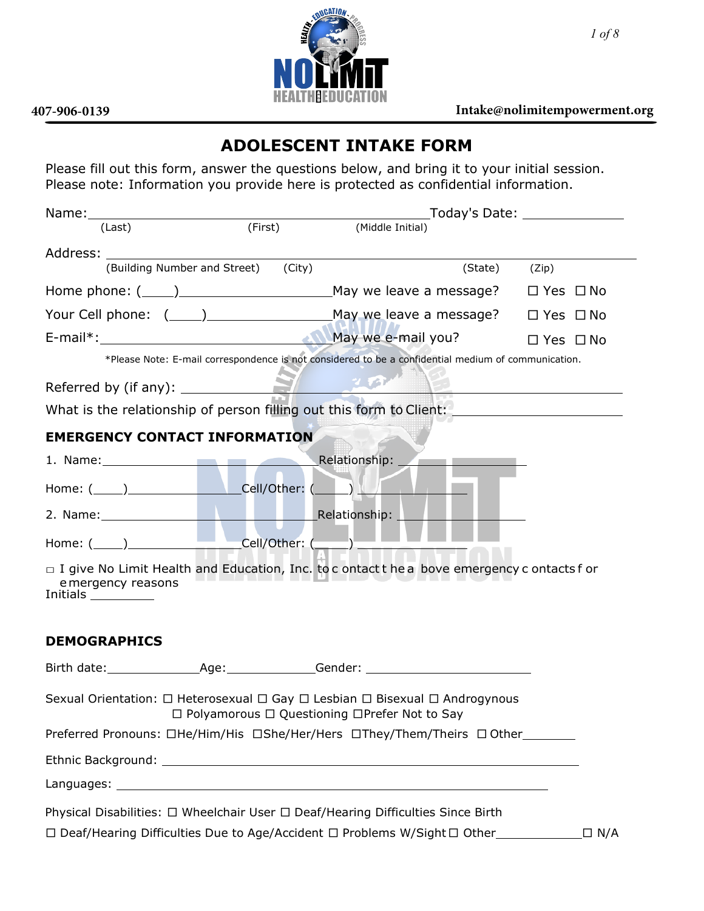

## **407-906-0139 Intake@nolimitempowerment.org**

## **ADOLESCENT INTAKE FORM**

Please fill out this form, answer the questions below, and bring it to your initial session. Please note: Information you provide here is protected as confidential information.

|                                                                                                                                                                                                                                      |                                     |                                                                                                                               | _Today's Date: _______________ |
|--------------------------------------------------------------------------------------------------------------------------------------------------------------------------------------------------------------------------------------|-------------------------------------|-------------------------------------------------------------------------------------------------------------------------------|--------------------------------|
| (Last)                                                                                                                                                                                                                               |                                     | (First) (Middle Initial)                                                                                                      |                                |
| Address: Andreas Address: Address: Address: Address: Address: Address: Address: Address: Address: Address: Address: Address: Address: Address: Address: Address: Address: Address: Address: Address: Address: Address: Address       |                                     |                                                                                                                               |                                |
|                                                                                                                                                                                                                                      | (Building Number and Street) (City) | (State) (Zip)                                                                                                                 |                                |
|                                                                                                                                                                                                                                      |                                     |                                                                                                                               |                                |
|                                                                                                                                                                                                                                      |                                     |                                                                                                                               |                                |
|                                                                                                                                                                                                                                      |                                     |                                                                                                                               | $\Box$ Yes $\Box$ No           |
|                                                                                                                                                                                                                                      |                                     | *Please Note: E-mail correspondence is not considered to be a confidential medium of communication.                           |                                |
| Referred by (if any): <b>All the set of the set of the set of the set of the set of the set of the set of the set of the set of the set of the set of the set of the set of the set of the set of the set of the set of the set </b> |                                     |                                                                                                                               |                                |
|                                                                                                                                                                                                                                      |                                     | What is the relationship of person filling out this form to Client: _____________                                             |                                |
| <b>EMERGENCY CONTACT INFORMATION</b>                                                                                                                                                                                                 |                                     |                                                                                                                               |                                |
| 1. Name: and the same of the same of the same of the same of the same of the same of the same of the same of the same of the same of the same of the same of the same of the same of the same of the same of the same of the s       |                                     | Relationship:<br><b>Committee Committee</b>                                                                                   |                                |
| Home: (_____)___________________________Cell/Other: (______) ___________________                                                                                                                                                     |                                     |                                                                                                                               |                                |
| 2. Name: Manuel Manuel Manuel Relationship:                                                                                                                                                                                          |                                     |                                                                                                                               |                                |
| Home: (_____)______________________Cell/Other: (______) ________                                                                                                                                                                     |                                     |                                                                                                                               |                                |
| e mergency reasons<br>Initials ___________                                                                                                                                                                                           |                                     | $\Box$ I give No Limit Health and Education, Inc. to c ontact t he a bove emergency c ontacts f or                            |                                |
| <b>DEMOGRAPHICS</b>                                                                                                                                                                                                                  |                                     |                                                                                                                               |                                |
|                                                                                                                                                                                                                                      |                                     |                                                                                                                               |                                |
|                                                                                                                                                                                                                                      |                                     | Sexual Orientation: □ Heterosexual □ Gay □ Lesbian □ Bisexual □ Androgynous<br>□ Polyamorous □ Questioning □Prefer Not to Say |                                |
|                                                                                                                                                                                                                                      |                                     | Preferred Pronouns: □He/Him/His □She/Her/Hers □They/Them/Theirs □ Other________                                               |                                |
|                                                                                                                                                                                                                                      |                                     |                                                                                                                               |                                |
|                                                                                                                                                                                                                                      |                                     |                                                                                                                               |                                |
|                                                                                                                                                                                                                                      |                                     | Physical Disabilities: □ Wheelchair User □ Deaf/Hearing Difficulties Since Birth                                              |                                |
|                                                                                                                                                                                                                                      |                                     | □ Deaf/Hearing Difficulties Due to Age/Accident □ Problems W/Sight □ Other                                                    | $\Box$ N/A                     |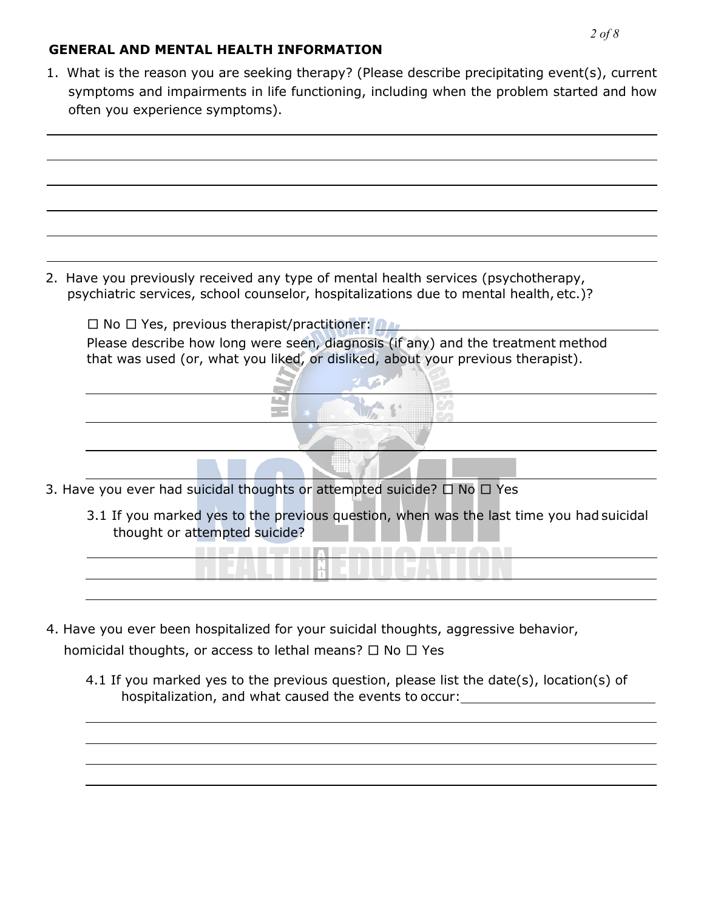## **GENERAL AND MENTAL HEALTH INFORMATION**

1. What is the reason you are seeking therapy? (Please describe precipitating event(s), current symptoms and impairments in life functioning, including when the problem started and how often you experience symptoms).



2. Have you previously received any type of mental health services (psychotherapy, psychiatric services, school counselor, hospitalizations due to mental health, etc.)?

 $\square$  No  $\square$  Yes, previous therapist/practitioner: Please describe how long were seen, diagnosis (if any) and the treatment method that was used (or, what you liked, or disliked, about your previous therapist).

 $\mathbf{z}$  final

だい

3. Have you ever had suicidal thoughts or attempted suicide? □ No □ Yes

m.

- -

3.1 If you marked yes to the previous question, when was the last time you had suicidal thought or attempted suicide?

**TELEVIAL BUARTIAN** 

- 4. Have you ever been hospitalized for your suicidal thoughts, aggressive behavior, homicidal thoughts, or access to lethal means?  $\Box$  No  $\Box$  Yes
	- 4.1 If you marked yes to the previous question, please list the date(s), location(s) of hospitalization, and what caused the events to occur: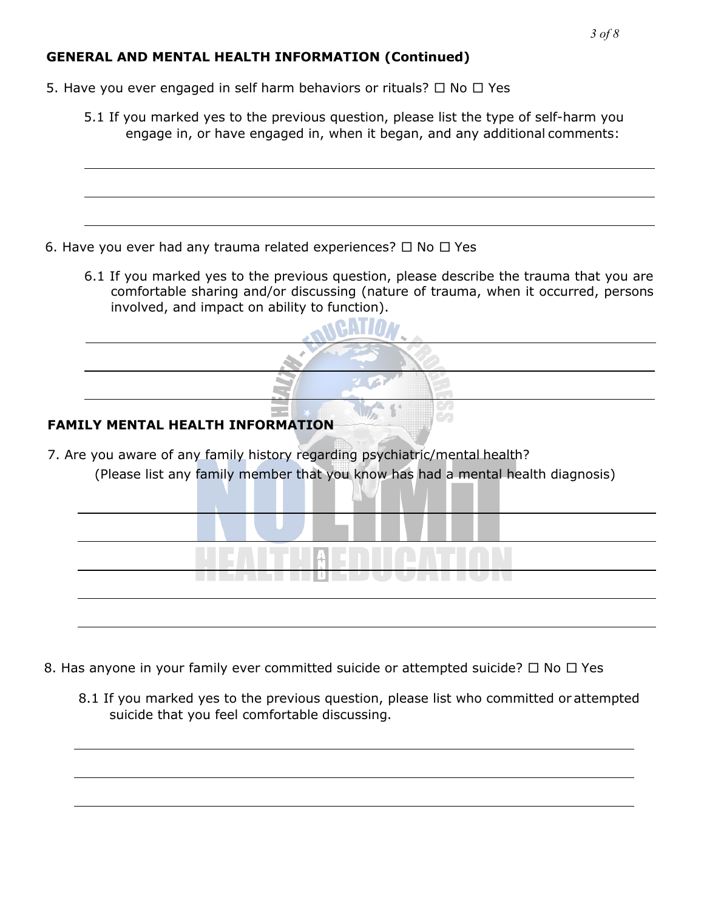## **GENERAL AND MENTAL HEALTH INFORMATION (Continued)**

- 5. Have you ever engaged in self harm behaviors or rituals?  $\Box$  No  $\Box$  Yes
	- 5.1 If you marked yes to the previous question, please list the type of self-harm you engage in, or have engaged in, when it began, and any additional comments:

- 6. Have you ever had any trauma related experiences?  $\Box$  No  $\Box$  Yes
	- 6.1 If you marked yes to the previous question, please describe the trauma that you are comfortable sharing and/or discussing (nature of trauma, when it occurred, persons involved, and impact on ability to function).

## **FAMILY MENTAL HEALTH INFORMATION**

7. Are you aware of any family history regarding psychiatric/mental health? (Please list any family member that you know has had a mental health diagnosis)

| <u>TIETA ETTIEPOONI IVA</u> |
|-----------------------------|
|                             |
|                             |

- 8. Has anyone in your family ever committed suicide or attempted suicide?  $\Box$  No  $\Box$  Yes
	- 8.1 If you marked yes to the previous question, please list who committed or attempted suicide that you feel comfortable discussing.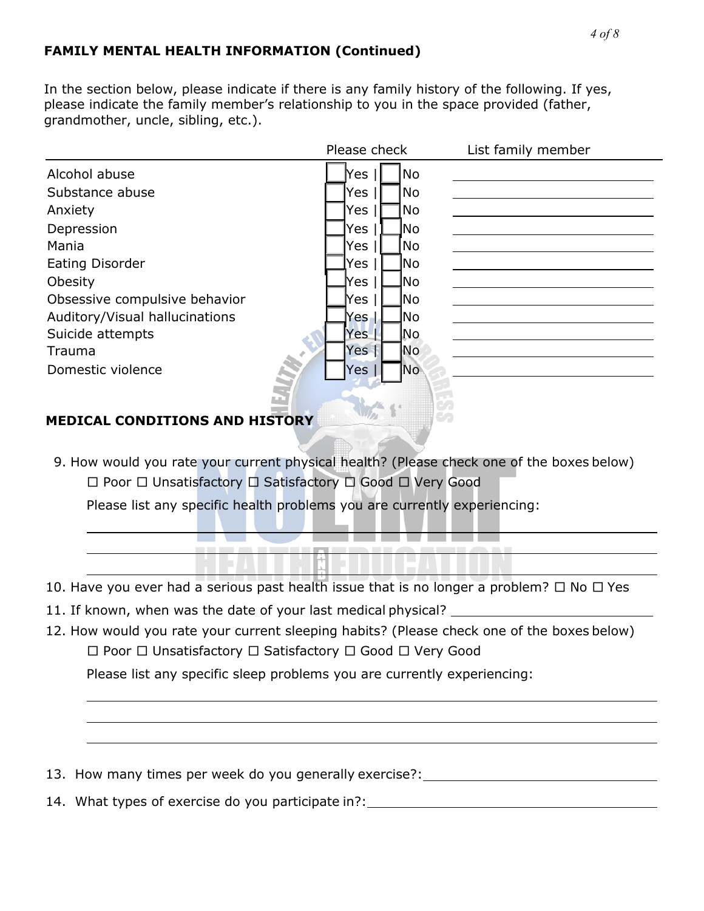## **FAMILY MENTAL HEALTH INFORMATION (Continued)**

In the section below, please indicate if there is any family history of the following. If yes, please indicate the family member's relationship to you in the space provided (father, grandmother, uncle, sibling, etc.).

|                                | Please check       | List family member |
|--------------------------------|--------------------|--------------------|
| Alcohol abuse                  | No.<br>Yes         |                    |
| Substance abuse                | No.<br>Yes         |                    |
| Anxiety                        | Yes<br>No.         |                    |
| Depression                     | Yes<br>lNo         |                    |
| Mania                          | No.<br>Yes         |                    |
| <b>Eating Disorder</b>         | lNo<br>Yes         |                    |
| Obesity                        | Yes<br>lNo         |                    |
| Obsessive compulsive behavior  | lNo<br>Yes         |                    |
| Auditory/Visual hallucinations | lNo<br>Yes -       |                    |
| Suicide attempts               | No<br>Yes          |                    |
| Trauma                         | Yes  <br><b>No</b> |                    |
| ×.<br>Domestic violence        | No.<br>Yes         |                    |
|                                |                    |                    |

## **MEDICAL CONDITIONS AND HISTORY**

9. How would you rate your current physical health? (Please check one of the boxes below) □ Poor □ Unsatisfactory □ Satisfactory □ Good □ Very Good

Please list any specific health problems you are currently experiencing:

**LET** 

- 10. Have you ever had a serious past health issue that is no longer a problem?  $\Box$  No  $\Box$  Yes
- 11. If known, when was the date of your last medical physical?

------------

12. How would you rate your current sleeping habits? (Please check one of the boxes below) □ Poor □ Unsatisfactory □ Satisfactory □ Good □ Very Good

Please list any specific sleep problems you are currently experiencing:

- 13. How many times per week do you generally exercise?:
- 14. What types of exercise do you participate in?: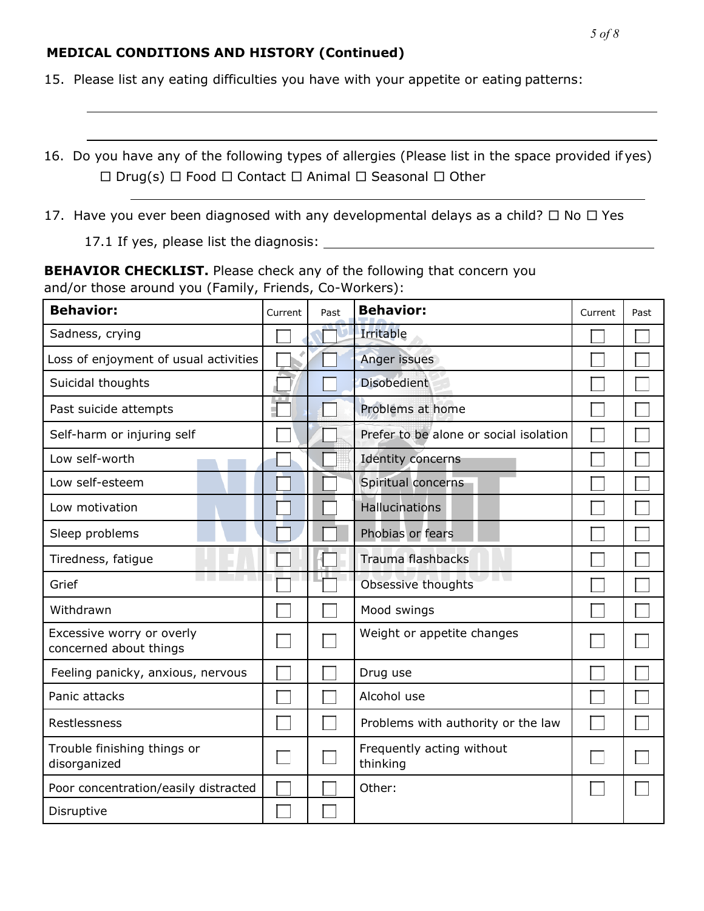#### *5 of 8*

#### **MEDICAL CONDITIONS AND HISTORY (Continued)**

15. Please list any eating difficulties you have with your appetite or eating patterns:

16. Do you have any of the following types of allergies (Please list in the space provided if yes) □ Drug(s) □ Food □ Contact □ Animal □ Seasonal □ Other

17. Have you ever been diagnosed with any developmental delays as a child?  $\Box$  No  $\Box$  Yes

17.1 If yes, please list the diagnosis:

**BEHAVIOR CHECKLIST.** Please check any of the following that concern you and/or those around you (Family, Friends, Co-Workers):

| <b>Behavior:</b>                                    | Current | Past | <b>Behavior:</b>                       | Current | Past |
|-----------------------------------------------------|---------|------|----------------------------------------|---------|------|
| Sadness, crying                                     |         |      | Irritable                              |         |      |
| Loss of enjoyment of usual activities               |         |      | Anger issues                           |         |      |
| Suicidal thoughts                                   |         |      | <b>Disobedient</b>                     |         |      |
| Past suicide attempts                               |         |      | Problems at home                       |         |      |
| Self-harm or injuring self                          |         |      | Prefer to be alone or social isolation |         |      |
| Low self-worth                                      |         |      | Identity concerns                      |         |      |
| Low self-esteem                                     |         |      | Spiritual concerns                     |         |      |
| Low motivation                                      |         |      | Hallucinations                         |         |      |
| Sleep problems                                      |         |      | Phobias or fears                       |         |      |
| Tiredness, fatigue                                  |         |      | <b>Trauma flashbacks</b>               |         |      |
| Grief                                               |         |      | Obsessive thoughts                     |         |      |
| Withdrawn                                           |         |      | Mood swings                            |         |      |
| Excessive worry or overly<br>concerned about things |         |      | Weight or appetite changes             |         |      |
| Feeling panicky, anxious, nervous                   |         |      | Drug use                               |         |      |
| Panic attacks                                       |         |      | Alcohol use                            |         |      |
| Restlessness                                        |         |      | Problems with authority or the law     |         |      |
| Trouble finishing things or<br>disorganized         |         |      | Frequently acting without<br>thinking  |         |      |
| Poor concentration/easily distracted                |         |      | Other:                                 |         |      |
| Disruptive                                          |         |      |                                        |         |      |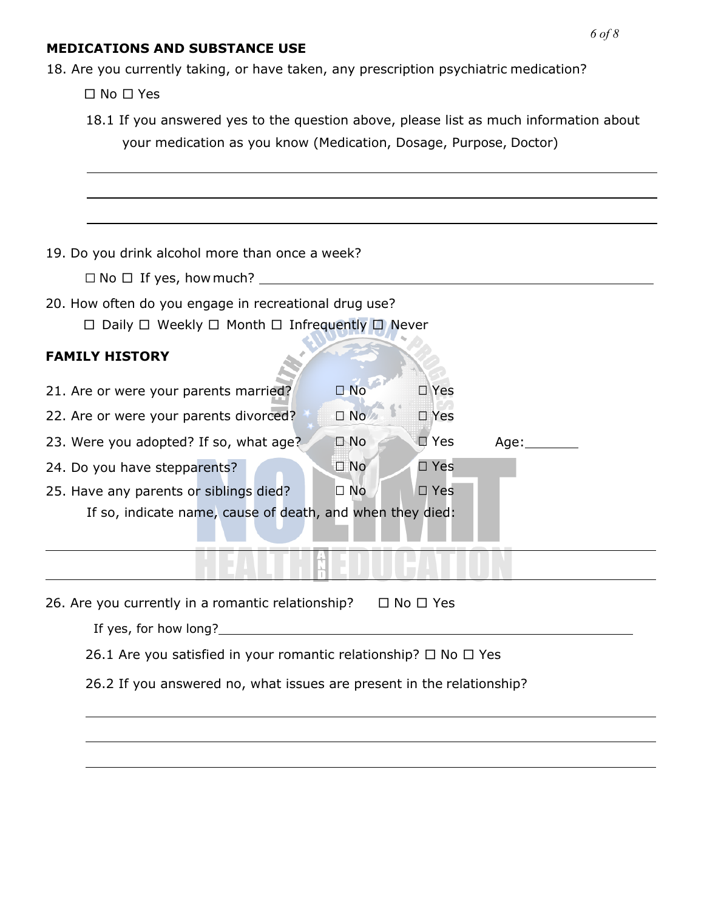#### **MEDICATIONS AND SUBSTANCE USE**

18. Are you currently taking, or have taken, any prescription psychiatric medication?

□ No □ Yes

| 18.1 If you answered yes to the question above, please list as much information about |  |
|---------------------------------------------------------------------------------------|--|
| your medication as you know (Medication, Dosage, Purpose, Doctor)                     |  |

19. Do you drink alcohol more than once a week?

 $\Box$  No  $\Box$  If yes, how much?

20. How often do you engage in recreational drug use?

□ Daily □ Weekly □ Month □ Infrequently □ Never

## **FAMILY HISTORY**

21. Are or were your parents married?  $□ No$   $□ Yes$ 22. Are or were your parents divorced? ☐ No ☐ Yes 23. Were you adopted? If so, what age? □ No □ Yes Age: <u>△ □</u> 24. Do you have stepparents? ☐ No ☐ Yes 25. Have any parents or siblings died? ☐ No ☐ Yes If so, indicate name, cause of death, and when they died:

26. Are you currently in a romantic relationship?  $\Box$  No  $\Box$  Yes

If yes, for how long?

26.1 Are you satisfied in your romantic relationship?  $\Box$  No  $\Box$  Yes

26.2 If you answered no, what issues are present in the relationship?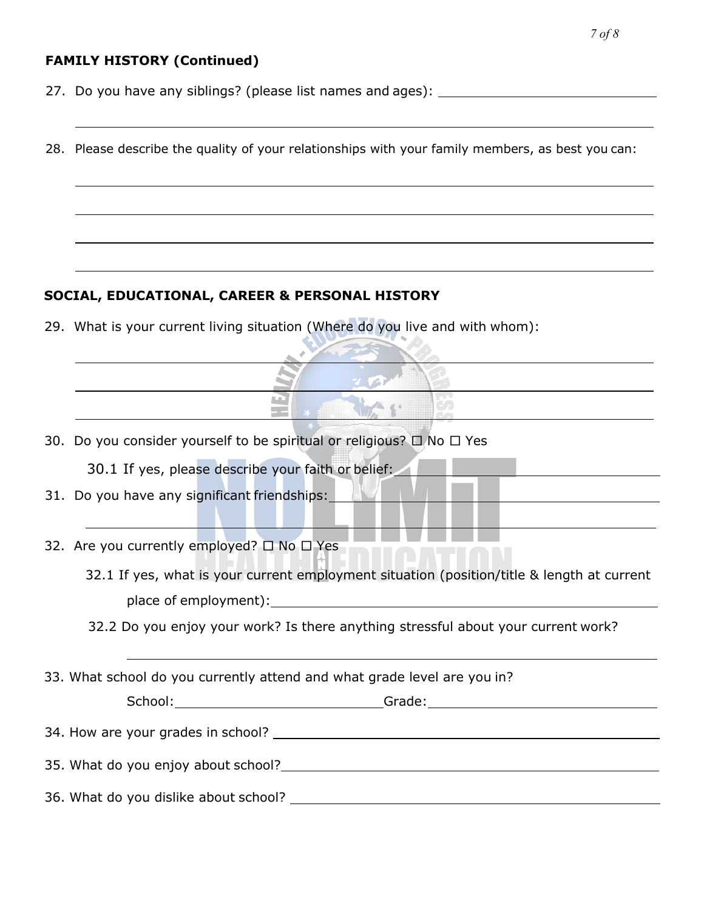## **FAMILY HISTORY (Continued)**

- 27. Do you have any siblings? (please list names and ages):
- 28. Please describe the quality of your relationships with your family members, as best you can:

## **SOCIAL, EDUCATIONAL, CAREER & PERSONAL HISTORY**

29. What is your current living situation (Where do you live and with whom):

- 30. Do you consider yourself to be spiritual or religious?  $\Box$  No  $\Box$  Yes
	- 30.1 If yes, please describe your faith or belief:
- 31. Do you have any significant friendships:
- 32. Are you currently employed? □ No □ Yes
	- 32.1 If yes, what is your current employment situation (position/title & length at current place of employment):
	- 32.2 Do you enjoy your work? Is there anything stressful about your current work?
- 33. What school do you currently attend and what grade level are you in?

School: Grade: Grade: Grade: Grade: Grade: Grade: Grade: Grade: Grade: Grade: Grade: Grade: Grade: Grade: Grade: Grade: Grade: Grade: Grade: Grade: Grade: Grade: Grade: Grade: Grade: Grade: Grade: Grade: Grade: Grade: Grad

34. How are your grades in school?

35. What do you enjoy about school?

36. What do you dislike about school?